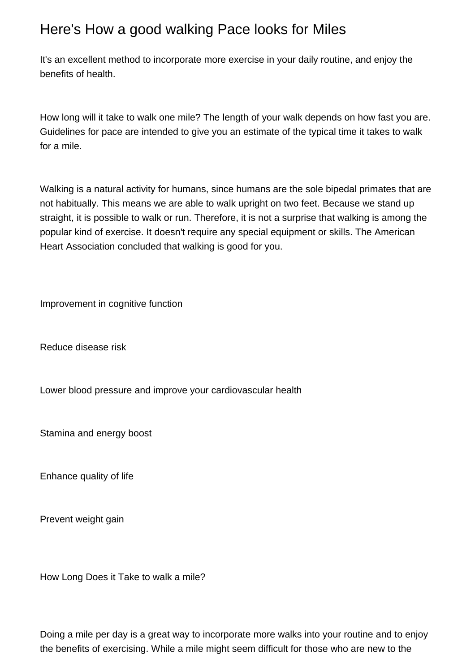## Here's How a good walking Pace looks for Miles

It's an excellent method to incorporate more exercise in your daily routine, and enjoy the benefits of health.

How long will it take to walk one mile? The length of your walk depends on how fast you are. Guidelines for pace are intended to give you an estimate of the typical time it takes to walk for a mile.

Walking is a natural activity for humans, since humans are the sole bipedal primates that are not habitually. This means we are able to walk upright on two feet. Because we stand up straight, it is possible to walk or run. Therefore, it is not a surprise that walking is among the popular kind of exercise. It doesn't require any special equipment or skills. The American Heart Association concluded that walking is good for you.

Improvement in cognitive function

Reduce disease risk

Lower blood pressure and improve your cardiovascular health

Stamina and energy boost

Enhance quality of life

Prevent weight gain

How Long Does it Take to walk a mile?

Doing a mile per day is a great way to incorporate more walks into your routine and to enjoy the benefits of exercising. While a mile might seem difficult for those who are new to the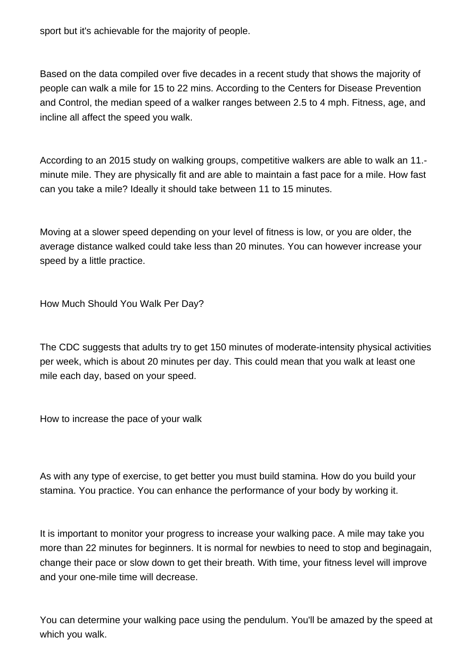sport but it's achievable for the majority of people.

Based on the data compiled over five decades in a recent study that shows the majority of people can walk a mile for 15 to 22 mins. According to the Centers for Disease Prevention and Control, the median speed of a walker ranges between 2.5 to 4 mph. Fitness, age, and incline all affect the speed you walk.

According to an 2015 study on walking groups, competitive walkers are able to walk an 11. minute mile. They are physically fit and are able to maintain a fast pace for a mile. How fast can you take a mile? Ideally it should take between 11 to 15 minutes.

Moving at a slower speed depending on your level of fitness is low, or you are older, the average distance walked could take less than 20 minutes. You can however increase your speed by a little practice.

How Much Should You Walk Per Day?

The CDC suggests that adults try to get 150 minutes of moderate-intensity physical activities per week, which is about 20 minutes per day. This could mean that you walk at least one mile each day, based on your speed.

How to increase the pace of your walk

As with any type of exercise, to get better you must build stamina. How do you build your stamina. You practice. You can enhance the performance of your body by working it.

It is important to monitor your progress to increase your walking pace. A mile may take you more than 22 minutes for beginners. It is normal for newbies to need to stop and beginagain, change their pace or slow down to get their breath. With time, your fitness level will improve and your one-mile time will decrease.

You can determine your walking pace using the pendulum. You'll be amazed by the speed at which you walk.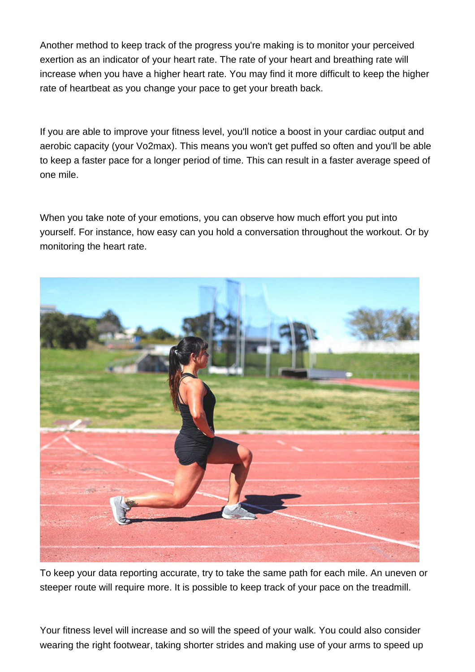Another method to keep track of the progress you're making is to monitor your perceived exertion as an indicator of your heart rate. The rate of your heart and breathing rate will increase when you have a higher heart rate. You may find it more difficult to keep the higher rate of heartbeat as you change your pace to get your breath back.

If you are able to improve your fitness level, you'll notice a boost in your cardiac output and aerobic capacity (your Vo2max). This means you won't get puffed so often and you'll be able to keep a faster pace for a longer period of time. This can result in a faster average speed of one mile.

When you take note of your emotions, you can observe how much effort you put into yourself. For instance, how easy can you hold a conversation throughout the workout. Or by monitoring the heart rate.



To keep your data reporting accurate, try to take the same path for each mile. An uneven or steeper route will require more. It is possible to keep track of your pace on the treadmill.

Your fitness level will increase and so will the speed of your walk. You could also consider wearing the right footwear, taking shorter strides and making use of your arms to speed up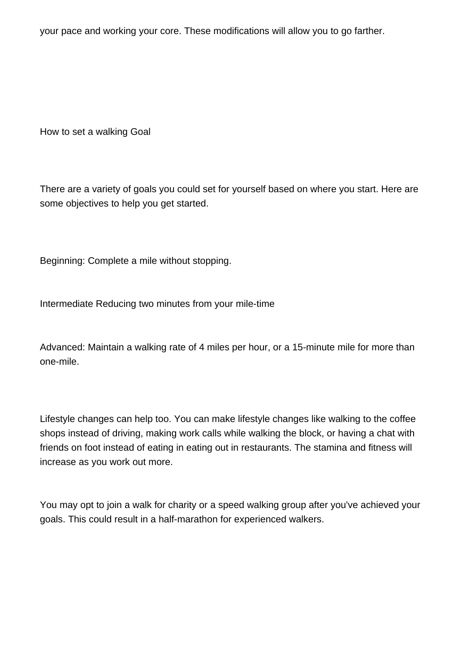your pace and working your core. These modifications will allow you to go farther.

How to set a walking Goal

There are a variety of goals you could set for yourself based on where you start. Here are some objectives to help you get started.

Beginning: Complete a mile without stopping.

Intermediate Reducing two minutes from your mile-time

Advanced: Maintain a walking rate of 4 miles per hour, or a 15-minute mile for more than one-mile.

Lifestyle changes can help too. You can make lifestyle changes like walking to the coffee shops instead of driving, making work calls while walking the block, or having a chat with friends on foot instead of eating in eating out in restaurants. The stamina and fitness will increase as you work out more.

You may opt to join a walk for charity or a speed walking group after you've achieved your goals. This could result in a half-marathon for experienced walkers.